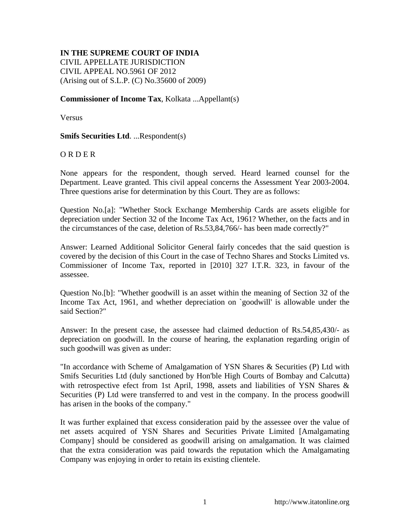## **IN THE SUPREME COURT OF INDIA**

CIVIL APPELLATE JURISDICTION CIVIL APPEAL NO.5961 OF 2012 (Arising out of S.L.P. (C) No.35600 of 2009)

## **Commissioner of Income Tax**, Kolkata ...Appellant(s)

Versus

## **Smifs Securities Ltd**. ...Respondent(s)

## O R D E R

None appears for the respondent, though served. Heard learned counsel for the Department. Leave granted. This civil appeal concerns the Assessment Year 2003-2004. Three questions arise for determination by this Court. They are as follows:

Question No.[a]: "Whether Stock Exchange Membership Cards are assets eligible for depreciation under Section 32 of the Income Tax Act, 1961? Whether, on the facts and in the circumstances of the case, deletion of Rs.53,84,766/- has been made correctly?"

Answer: Learned Additional Solicitor General fairly concedes that the said question is covered by the decision of this Court in the case of Techno Shares and Stocks Limited vs. Commissioner of Income Tax, reported in [2010] 327 I.T.R. 323, in favour of the assessee.

Question No.[b]: "Whether goodwill is an asset within the meaning of Section 32 of the Income Tax Act, 1961, and whether depreciation on `goodwill' is allowable under the said Section?"

Answer: In the present case, the assessee had claimed deduction of Rs.54,85,430/- as depreciation on goodwill. In the course of hearing, the explanation regarding origin of such goodwill was given as under:

"In accordance with Scheme of Amalgamation of YSN Shares & Securities (P) Ltd with Smifs Securities Ltd (duly sanctioned by Hon'ble High Courts of Bombay and Calcutta) with retrospective efect from 1st April, 1998, assets and liabilities of YSN Shares & Securities (P) Ltd were transferred to and vest in the company. In the process goodwill has arisen in the books of the company."

It was further explained that excess consideration paid by the assessee over the value of net assets acquired of YSN Shares and Securities Private Limited [Amalgamating Company] should be considered as goodwill arising on amalgamation. It was claimed that the extra consideration was paid towards the reputation which the Amalgamating Company was enjoying in order to retain its existing clientele.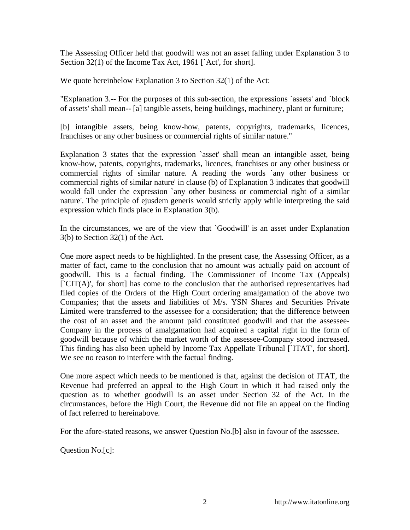The Assessing Officer held that goodwill was not an asset falling under Explanation 3 to Section 32(1) of the Income Tax Act, 1961 [`Act', for short].

We quote hereinbelow Explanation 3 to Section 32(1) of the Act:

"Explanation 3.-- For the purposes of this sub-section, the expressions `assets' and `block of assets' shall mean-- [a] tangible assets, being buildings, machinery, plant or furniture;

[b] intangible assets, being know-how, patents, copyrights, trademarks, licences, franchises or any other business or commercial rights of similar nature."

Explanation 3 states that the expression `asset' shall mean an intangible asset, being know-how, patents, copyrights, trademarks, licences, franchises or any other business or commercial rights of similar nature. A reading the words `any other business or commercial rights of similar nature' in clause (b) of Explanation 3 indicates that goodwill would fall under the expression `any other business or commercial right of a similar nature'. The principle of ejusdem generis would strictly apply while interpreting the said expression which finds place in Explanation 3(b).

In the circumstances, we are of the view that `Goodwill' is an asset under Explanation 3(b) to Section 32(1) of the Act.

One more aspect needs to be highlighted. In the present case, the Assessing Officer, as a matter of fact, came to the conclusion that no amount was actually paid on account of goodwill. This is a factual finding. The Commissioner of Income Tax (Appeals)  $\lceil$  CIT(A)', for short] has come to the conclusion that the authorised representatives had filed copies of the Orders of the High Court ordering amalgamation of the above two Companies; that the assets and liabilities of M/s. YSN Shares and Securities Private Limited were transferred to the assessee for a consideration; that the difference between the cost of an asset and the amount paid constituted goodwill and that the assessee-Company in the process of amalgamation had acquired a capital right in the form of goodwill because of which the market worth of the assessee-Company stood increased. This finding has also been upheld by Income Tax Appellate Tribunal [`ITAT', for short]. We see no reason to interfere with the factual finding.

One more aspect which needs to be mentioned is that, against the decision of ITAT, the Revenue had preferred an appeal to the High Court in which it had raised only the question as to whether goodwill is an asset under Section 32 of the Act. In the circumstances, before the High Court, the Revenue did not file an appeal on the finding of fact referred to hereinabove.

For the afore-stated reasons, we answer Question No.[b] also in favour of the assessee.

Question No.[c]: